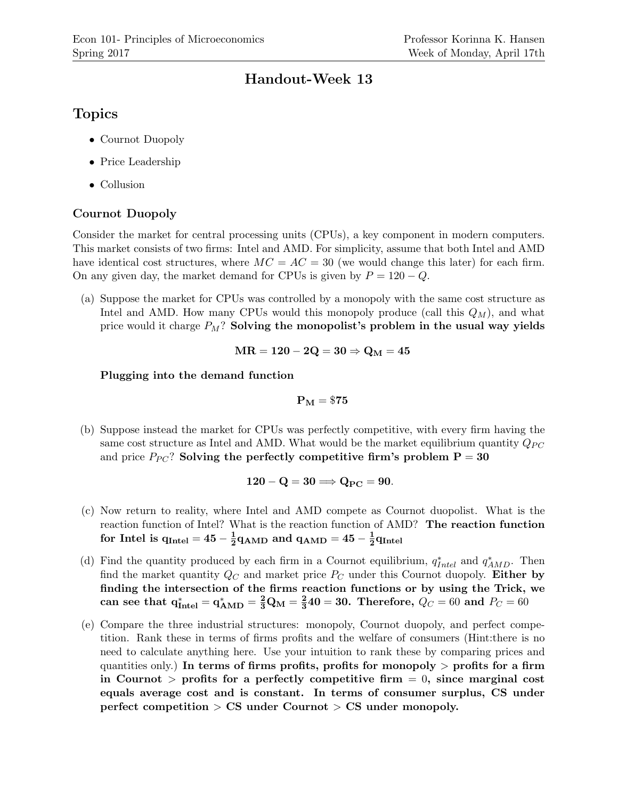## Handout-Week 13

# Topics

- Cournot Duopoly
- Price Leadership
- Collusion

### Cournot Duopoly

Consider the market for central processing units (CPUs), a key component in modern computers. This market consists of two firms: Intel and AMD. For simplicity, assume that both Intel and AMD have identical cost structures, where  $MC = AC = 30$  (we would change this later) for each firm. On any given day, the market demand for CPUs is given by  $P = 120 - Q$ .

(a) Suppose the market for CPUs was controlled by a monopoly with the same cost structure as Intel and AMD. How many CPUs would this monopoly produce (call this  $Q_M$ ), and what price would it charge  $P_M$ ? Solving the monopolist's problem in the usual way yields

$$
MR=120-2Q=30 \Rightarrow Q_M=45
$$

#### Plugging into the demand function

$$
\mathbf{P}_\mathbf{M}=\$75
$$

(b) Suppose instead the market for CPUs was perfectly competitive, with every firm having the same cost structure as Intel and AMD. What would be the market equilibrium quantity  $Q_{PC}$ and price  $P_{PC}$ ? Solving the perfectly competitive firm's problem  $P = 30$ 

$$
120 - Q = 30 \Longrightarrow Q_{PC} = 90.
$$

- (c) Now return to reality, where Intel and AMD compete as Cournot duopolist. What is the reaction function of Intel? What is the reaction function of AMD? The reaction function for Intel is  $\rm{q_{Intel}} = 45-\frac{1}{2}$  $\frac{1}{2}$ q<sub>AMD</sub> and q<sub>AMD</sub> = 45 –  $\frac{1}{2}$  $\frac{1}{2} q_{\rm Intel}$
- (d) Find the quantity produced by each firm in a Cournot equilibrium,  $q_{Intel}^*$  and  $q_{AMD}^*$ . Then find the market quantity  $Q_C$  and market price  $P_C$  under this Cournot duopoly. Either by finding the intersection of the firms reaction functions or by using the Trick, we  ${\rm can~ see~ that~ } {\rm q}_{\rm Intel}^* = {\rm q}_{\rm AMD}^* = \frac{2}{3} {\rm Q}_{\rm M} = \frac{2}{3}$  $\frac{2}{3}40=30.$  Therefore,  $Q_C=60$  and  $P_C=60$
- (e) Compare the three industrial structures: monopoly, Cournot duopoly, and perfect competition. Rank these in terms of firms profits and the welfare of consumers (Hint:there is no need to calculate anything here. Use your intuition to rank these by comparing prices and quantities only.) In terms of firms profits, profits for monopoly  $>$  profits for a firm in Cournot  $>$  profits for a perfectly competitive firm  $= 0$ , since marginal cost equals average cost and is constant. In terms of consumer surplus, CS under perfect competition > CS under Cournot > CS under monopoly.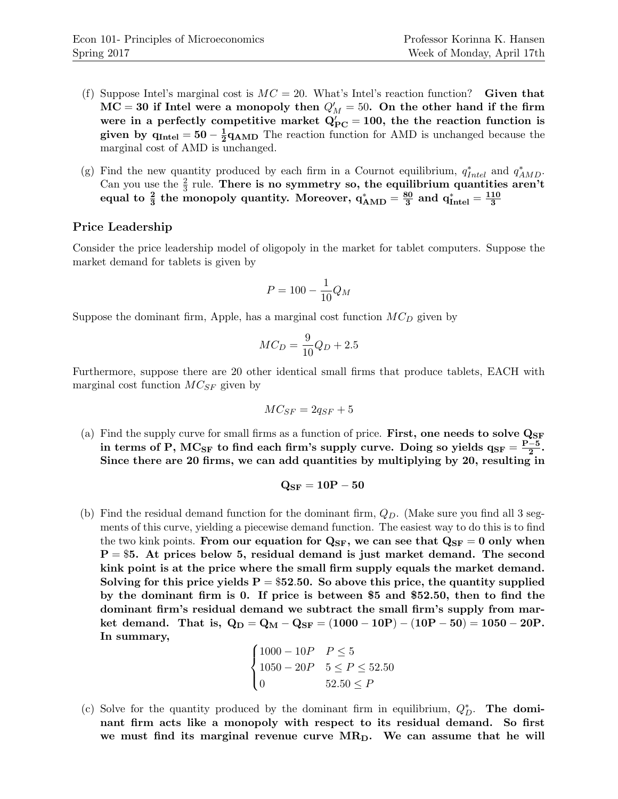- (f) Suppose Intel's marginal cost is  $MC = 20$ . What's Intel's reaction function? Given that  $\mathrm{MC}=30$  if Intel were a monopoly then  $Q_M^\prime=50.$  On the other hand if the firm were in a perfectly competitive market  $Q'_{\text{PC}} = 100$ , the the reaction function is given by  $\rm{q_{Intel}} = 50-\frac{1}{2}$  $\frac{1}{2}q_{\text{AMD}}$  The reaction function for AMD is unchanged because the marginal cost of AMD is unchanged.
- (g) Find the new quantity produced by each firm in a Cournot equilibrium,  $q_{Intel}^*$  and  $q_{AMD}^*$ . Can you use the  $\frac{2}{3}$  rule. There is no symmetry so, the equilibrium quantities aren't equal to  $\frac{2}{3}$  the monopoly quantity. Moreover,  $q_{\rm AMD}^* = \frac{80}{3}$  $\frac{30}{3}$  and  $q^*_{\rm Intel} = \frac{110}{3}$ 3

#### Price Leadership

Consider the price leadership model of oligopoly in the market for tablet computers. Suppose the market demand for tablets is given by

$$
P = 100 - \frac{1}{10}Q_M
$$

Suppose the dominant firm, Apple, has a marginal cost function  $MC<sub>D</sub>$  given by

$$
MC_D = \frac{9}{10}Q_D + 2.5
$$

Furthermore, suppose there are 20 other identical small firms that produce tablets, EACH with marginal cost function  $MC_{SF}$  given by

$$
MC_{SF} = 2q_{SF} + 5
$$

(a) Find the supply curve for small firms as a function of price. First, one needs to solve  $Q_{SF}$ in terms of P,  $\rm{MC_{SF}}$  to find each firm's supply curve. Doing so yields  $\rm{q_{SF}}=\frac{P-5}{2}$  $\frac{-5}{2}$  . Since there are 20 firms, we can add quantities by multiplying by 20, resulting in

$$
\mathrm{Q_{SF}}=10\mathrm{P}-50
$$

(b) Find the residual demand function for the dominant firm,  $Q_D$ . (Make sure you find all 3 segments of this curve, yielding a piecewise demand function. The easiest way to do this is to find the two kink points. From our equation for  $Q_{SF}$ , we can see that  $Q_{SF} = 0$  only when  $P = $5$ . At prices below 5, residual demand is just market demand. The second kink point is at the price where the small firm supply equals the market demand. Solving for this price yields  $P = $52.50$ . So above this price, the quantity supplied by the dominant firm is 0. If price is between \$5 and \$52.50, then to find the dominant firm's residual demand we subtract the small firm's supply from market demand. That is,  $Q_D = Q_M - Q_{SF} = (1000 - 10P) - (10P - 50) = 1050 - 20P$ . In summary,

$$
\begin{cases} 1000 - 10P & P \le 5 \\ 1050 - 20P & 5 \le P \le 52.50 \\ 0 & 52.50 \le P \end{cases}
$$

(c) Solve for the quantity produced by the dominant firm in equilibrium,  $Q_D^*$ . The dominant firm acts like a monopoly with respect to its residual demand. So first we must find its marginal revenue curve  $MR_D$ . We can assume that he will